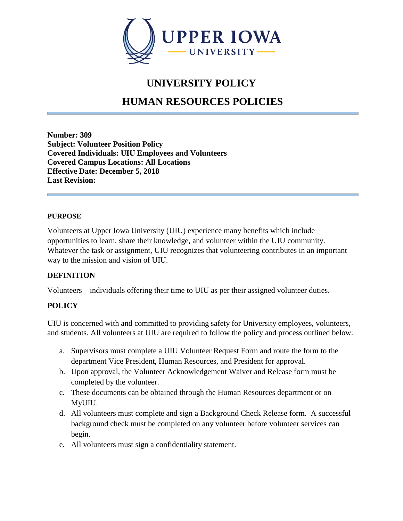

## **UNIVERSITY POLICY**

# **HUMAN RESOURCES POLICIES**

**Number: 309 Subject: Volunteer Position Policy Covered Individuals: UIU Employees and Volunteers Covered Campus Locations: All Locations Effective Date: December 5, 2018 Last Revision:** 

#### **PURPOSE**

Volunteers at Upper Iowa University (UIU) experience many benefits which include opportunities to learn, share their knowledge, and volunteer within the UIU community. Whatever the task or assignment, UIU recognizes that volunteering contributes in an important way to the mission and vision of UIU.

### **DEFINITION**

Volunteers – individuals offering their time to UIU as per their assigned volunteer duties.

### **POLICY**

UIU is concerned with and committed to providing safety for University employees, volunteers, and students. All volunteers at UIU are required to follow the policy and process outlined below.

- a. Supervisors must complete a UIU Volunteer Request Form and route the form to the department Vice President, Human Resources, and President for approval.
- b. Upon approval, the Volunteer Acknowledgement Waiver and Release form must be completed by the volunteer.
- c. These documents can be obtained through the Human Resources department or on MyUIU.
- d. All volunteers must complete and sign a Background Check Release form. A successful background check must be completed on any volunteer before volunteer services can begin.
- e. All volunteers must sign a confidentiality statement.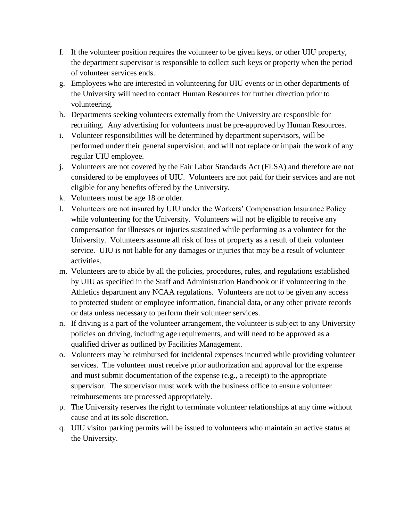- f. If the volunteer position requires the volunteer to be given keys, or other UIU property, the department supervisor is responsible to collect such keys or property when the period of volunteer services ends.
- g. Employees who are interested in volunteering for UIU events or in other departments of the University will need to contact Human Resources for further direction prior to volunteering.
- h. Departments seeking volunteers externally from the University are responsible for recruiting. Any advertising for volunteers must be pre-approved by Human Resources.
- i. Volunteer responsibilities will be determined by department supervisors, will be performed under their general supervision, and will not replace or impair the work of any regular UIU employee.
- j. Volunteers are not covered by the Fair Labor Standards Act (FLSA) and therefore are not considered to be employees of UIU. Volunteers are not paid for their services and are not eligible for any benefits offered by the University.
- k. Volunteers must be age 18 or older.
- l. Volunteers are not insured by UIU under the Workers' Compensation Insurance Policy while volunteering for the University. Volunteers will not be eligible to receive any compensation for illnesses or injuries sustained while performing as a volunteer for the University. Volunteers assume all risk of loss of property as a result of their volunteer service. UIU is not liable for any damages or injuries that may be a result of volunteer activities.
- m. Volunteers are to abide by all the policies, procedures, rules, and regulations established by UIU as specified in the Staff and Administration Handbook or if volunteering in the Athletics department any NCAA regulations. Volunteers are not to be given any access to protected student or employee information, financial data, or any other private records or data unless necessary to perform their volunteer services.
- n. If driving is a part of the volunteer arrangement, the volunteer is subject to any University policies on driving, including age requirements, and will need to be approved as a qualified driver as outlined by Facilities Management.
- o. Volunteers may be reimbursed for incidental expenses incurred while providing volunteer services. The volunteer must receive prior authorization and approval for the expense and must submit documentation of the expense (e.g., a receipt) to the appropriate supervisor. The supervisor must work with the business office to ensure volunteer reimbursements are processed appropriately.
- p. The University reserves the right to terminate volunteer relationships at any time without cause and at its sole discretion.
- q. UIU visitor parking permits will be issued to volunteers who maintain an active status at the University.